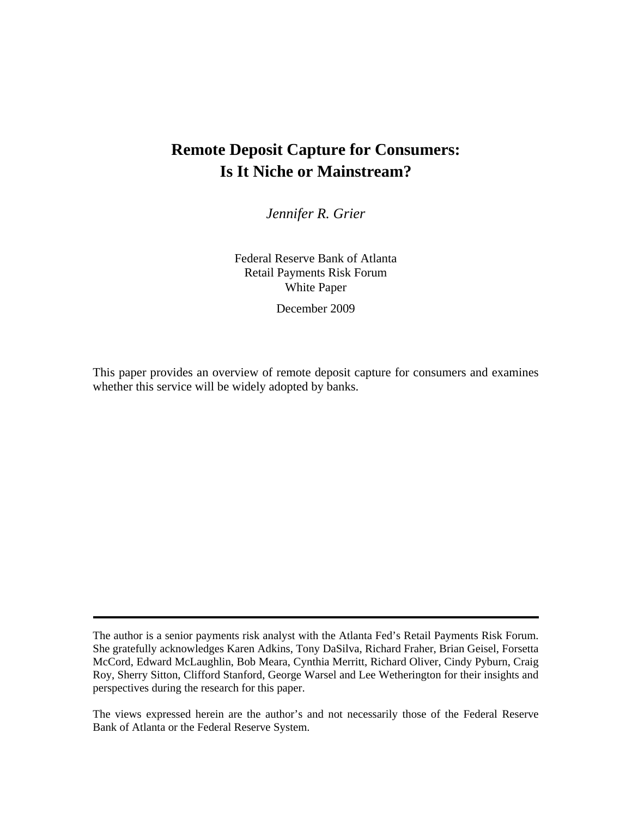# **Remote Deposit Capture for Consumers: Is It Niche or Mainstream?**

*Jennifer R. Grier* 

Federal Reserve Bank of Atlanta Retail Payments Risk Forum White Paper

December 2009

This paper provides an overview of remote deposit capture for consumers and examines whether this service will be widely adopted by banks.

The author is a senior payments risk analyst with the Atlanta Fed's Retail Payments Risk Forum. She gratefully acknowledges Karen Adkins, Tony DaSilva, Richard Fraher, Brian Geisel, Forsetta McCord, Edward McLaughlin, Bob Meara, Cynthia Merritt, Richard Oliver, Cindy Pyburn, Craig Roy, Sherry Sitton, Clifford Stanford, George Warsel and Lee Wetherington for their insights and perspectives during the research for this paper.

The views expressed herein are the author's and not necessarily those of the Federal Reserve Bank of Atlanta or the Federal Reserve System.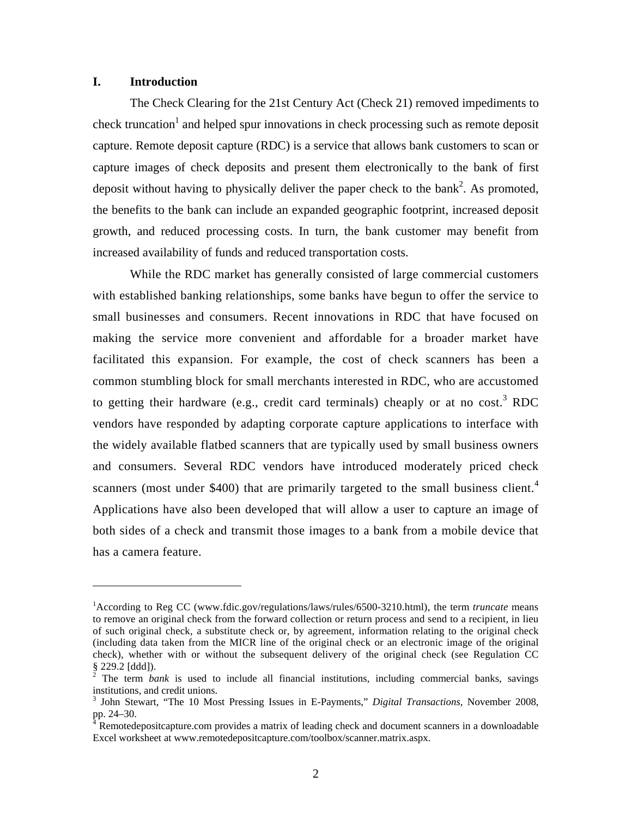## **I. Introduction**

1

The Check Clearing for the 21st Century Act (Check 21) removed impediments to check truncation<sup>1</sup> and helped spur innovations in check processing such as remote deposit capture. Remote deposit capture (RDC) is a service that allows bank customers to scan or capture images of check deposits and present them electronically to the bank of first deposit without having to physically deliver the paper check to the bank<sup>2</sup>. As promoted, the benefits to the bank can include an expanded geographic footprint, increased deposit growth, and reduced processing costs. In turn, the bank customer may benefit from increased availability of funds and reduced transportation costs.

While the RDC market has generally consisted of large commercial customers with established banking relationships, some banks have begun to offer the service to small businesses and consumers. Recent innovations in RDC that have focused on making the service more convenient and affordable for a broader market have facilitated this expansion. For example, the cost of check scanners has been a common stumbling block for small merchants interested in RDC, who are accustomed to getting their hardware (e.g., credit card terminals) cheaply or at no cost.<sup>3</sup> RDC vendors have responded by adapting corporate capture applications to interface with the widely available flatbed scanners that are typically used by small business owners and consumers. Several RDC vendors have introduced moderately priced check scanners (most under \$400) that are primarily targeted to the small business client.<sup>4</sup> Applications have also been developed that will allow a user to capture an image of both sides of a check and transmit those images to a bank from a mobile device that has a camera feature.

<sup>&</sup>lt;sup>1</sup>According to Reg CC (www.fdic.gov/regulations/laws/rules/6500-3210.html), the term *truncate* means to remove an original check from the forward collection or return process and send to a recipient, in lieu of such original check, a substitute check or, by agreement, information relating to the original check (including data taken from the MICR line of the original check or an electronic image of the original check), whether with or without the subsequent delivery of the original check (see Regulation CC § 229.2 [ddd]). 2 The term *bank* is used to include all financial institutions, including commercial banks, savings

institutions, and credit unions.

<sup>3</sup> John Stewart, "The 10 Most Pressing Issues in E-Payments," *Digital Transactions,* November 2008, pp. 24–30.

<sup>&</sup>lt;sup>4</sup> Remotedepositcapture.com provides a matrix of leading check and document scanners in a downloadable Excel worksheet at www.remotedepositcapture.com/toolbox/scanner.matrix.aspx.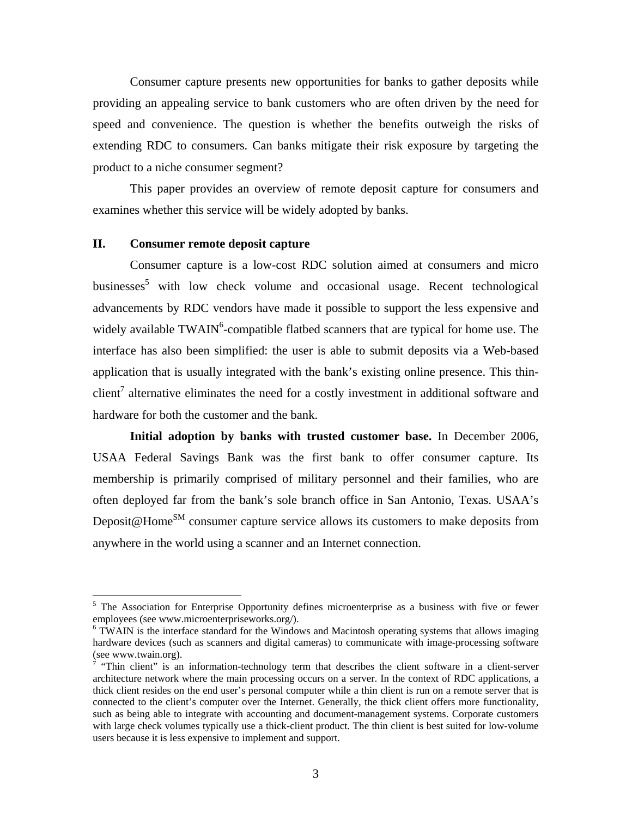Consumer capture presents new opportunities for banks to gather deposits while providing an appealing service to bank customers who are often driven by the need for speed and convenience. The question is whether the benefits outweigh the risks of extending RDC to consumers. Can banks mitigate their risk exposure by targeting the product to a niche consumer segment?

This paper provides an overview of remote deposit capture for consumers and examines whether this service will be widely adopted by banks.

### **II. Consumer remote deposit capture**

 $\overline{a}$ 

Consumer capture is a low-cost RDC solution aimed at consumers and micro businesses<sup>5</sup> with low check volume and occasional usage. Recent technological advancements by RDC vendors have made it possible to support the less expensive and widely available  $TWAIN^6$ -compatible flatbed scanners that are typical for home use. The interface has also been simplified: the user is able to submit deposits via a Web-based application that is usually integrated with the bank's existing online presence. This thinclient<sup>7</sup> alternative eliminates the need for a costly investment in additional software and hardware for both the customer and the bank.

**Initial adoption by banks with trusted customer base.** In December 2006, USAA Federal Savings Bank was the first bank to offer consumer capture. Its membership is primarily comprised of military personnel and their families, who are often deployed far from the bank's sole branch office in San Antonio, Texas. USAA's Deposit@Home<sup>SM</sup> consumer capture service allows its customers to make deposits from anywhere in the world using a scanner and an Internet connection.

<sup>&</sup>lt;sup>5</sup> The Association for Enterprise Opportunity defines microenterprise as a business with five or fewer employees (see www.microenterpriseworks.org/).

<sup>&</sup>lt;sup>6</sup> TWAIN is the interface standard for the Windows and Macintosh operating systems that allows imaging hardware devices (such as scanners and digital cameras) to communicate with image-processing software (see www.twain.org).

 $\overline{7}$  "Thin client" is an information-technology term that describes the client software in a client-server architecture network where the main processing occurs on a server. In the context of RDC applications, a thick client resides on the end user's personal computer while a thin client is run on a remote server that is connected to the client's computer over the Internet. Generally, the thick client offers more functionality, such as being able to integrate with accounting and document-management systems. Corporate customers with large check volumes typically use a thick-client product. The thin client is best suited for low-volume users because it is less expensive to implement and support.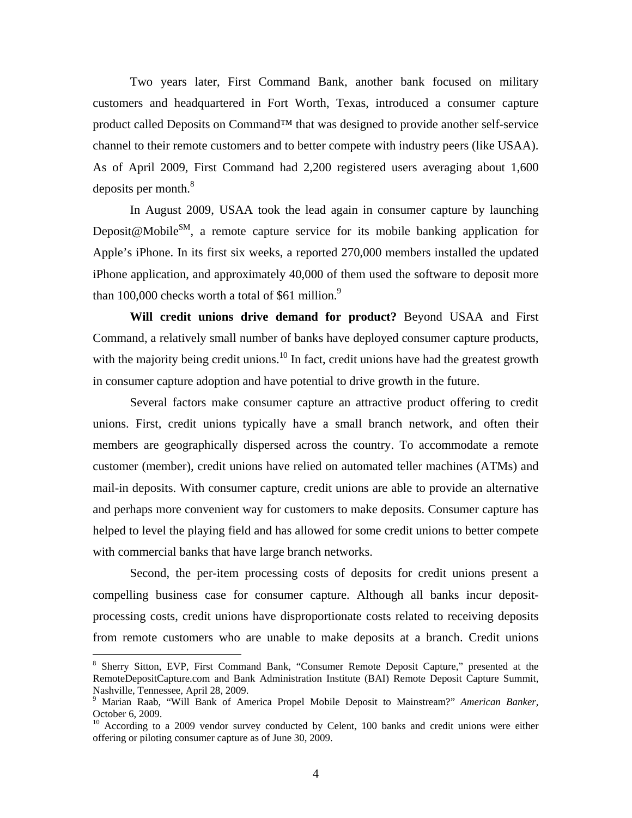Two years later, First Command Bank, another bank focused on military customers and headquartered in Fort Worth, Texas, introduced a consumer capture product called Deposits on Command™ that was designed to provide another self-service channel to their remote customers and to better compete with industry peers (like USAA). As of April 2009, First Command had 2,200 registered users averaging about 1,600 deposits per month.<sup>8</sup>

In August 2009, USAA took the lead again in consumer capture by launching Deposit@Mobile<sup>SM</sup>, a remote capture service for its mobile banking application for Apple's iPhone. In its first six weeks, a reported 270,000 members installed the updated iPhone application, and approximately 40,000 of them used the software to deposit more than 100,000 checks worth a total of \$61 million. $9$ 

**Will credit unions drive demand for product?** Beyond USAA and First Command, a relatively small number of banks have deployed consumer capture products, with the majority being credit unions.<sup>10</sup> In fact, credit unions have had the greatest growth in consumer capture adoption and have potential to drive growth in the future.

Several factors make consumer capture an attractive product offering to credit unions. First, credit unions typically have a small branch network, and often their members are geographically dispersed across the country. To accommodate a remote customer (member), credit unions have relied on automated teller machines (ATMs) and mail-in deposits. With consumer capture, credit unions are able to provide an alternative and perhaps more convenient way for customers to make deposits. Consumer capture has helped to level the playing field and has allowed for some credit unions to better compete with commercial banks that have large branch networks.

Second, the per-item processing costs of deposits for credit unions present a compelling business case for consumer capture. Although all banks incur depositprocessing costs, credit unions have disproportionate costs related to receiving deposits from remote customers who are unable to make deposits at a branch. Credit unions

<u>.</u>

<sup>&</sup>lt;sup>8</sup> Sherry Sitton, EVP, First Command Bank, "Consumer Remote Deposit Capture," presented at the RemoteDepositCapture.com and Bank Administration Institute (BAI) Remote Deposit Capture Summit, Nashville, Tennessee, April 28, 2009.

<sup>9</sup> Marian Raab, "Will Bank of America Propel Mobile Deposit to Mainstream?" *American Banker*, October 6, 2009.

<sup>&</sup>lt;sup>10</sup> According to a 2009 vendor survey conducted by Celent, 100 banks and credit unions were either offering or piloting consumer capture as of June 30, 2009.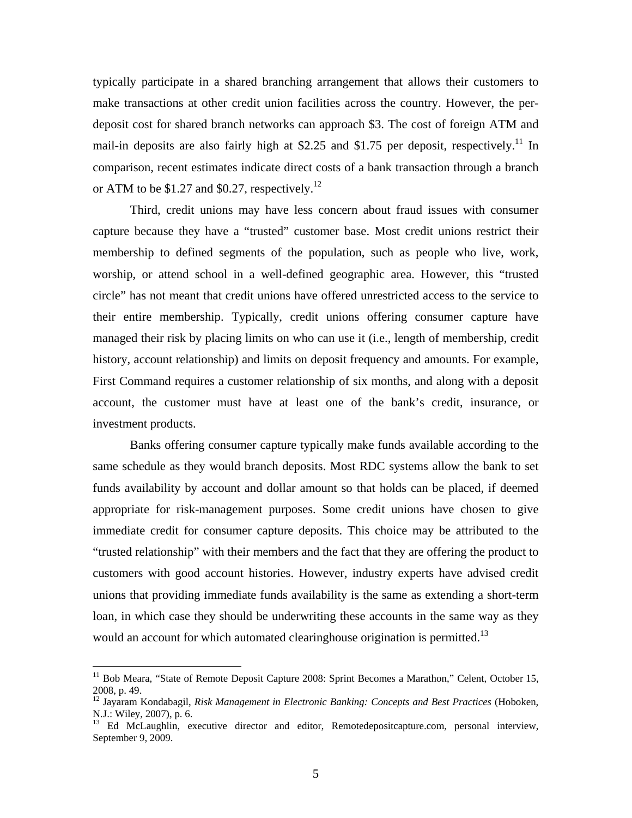typically participate in a shared branching arrangement that allows their customers to make transactions at other credit union facilities across the country. However, the perdeposit cost for shared branch networks can approach \$3. The cost of foreign ATM and mail-in deposits are also fairly high at \$2.25 and \$1.75 per deposit, respectively.<sup>11</sup> In comparison, recent estimates indicate direct costs of a bank transaction through a branch or ATM to be \$1.27 and \$0.27, respectively.<sup>12</sup>

Third, credit unions may have less concern about fraud issues with consumer capture because they have a "trusted" customer base. Most credit unions restrict their membership to defined segments of the population, such as people who live, work, worship, or attend school in a well-defined geographic area. However, this "trusted circle" has not meant that credit unions have offered unrestricted access to the service to their entire membership. Typically, credit unions offering consumer capture have managed their risk by placing limits on who can use it (i.e., length of membership, credit history, account relationship) and limits on deposit frequency and amounts. For example, First Command requires a customer relationship of six months, and along with a deposit account, the customer must have at least one of the bank's credit, insurance, or investment products.

Banks offering consumer capture typically make funds available according to the same schedule as they would branch deposits. Most RDC systems allow the bank to set funds availability by account and dollar amount so that holds can be placed, if deemed appropriate for risk-management purposes. Some credit unions have chosen to give immediate credit for consumer capture deposits. This choice may be attributed to the "trusted relationship" with their members and the fact that they are offering the product to customers with good account histories. However, industry experts have advised credit unions that providing immediate funds availability is the same as extending a short-term loan, in which case they should be underwriting these accounts in the same way as they would an account for which automated clearinghouse origination is permitted.<sup>13</sup>

<sup>&</sup>lt;sup>11</sup> Bob Meara, "State of Remote Deposit Capture 2008: Sprint Becomes a Marathon," Celent, October 15, 2008, p. 49.

<sup>12</sup> Jayaram Kondabagil, *Risk Management in Electronic Banking: Concepts and Best Practices* (Hoboken, N.J.: Wiley, 2007), p. 6.

<sup>&</sup>lt;sup>13</sup> Ed McLaughlin, executive director and editor, Remotedepositcapture.com, personal interview, September 9, 2009.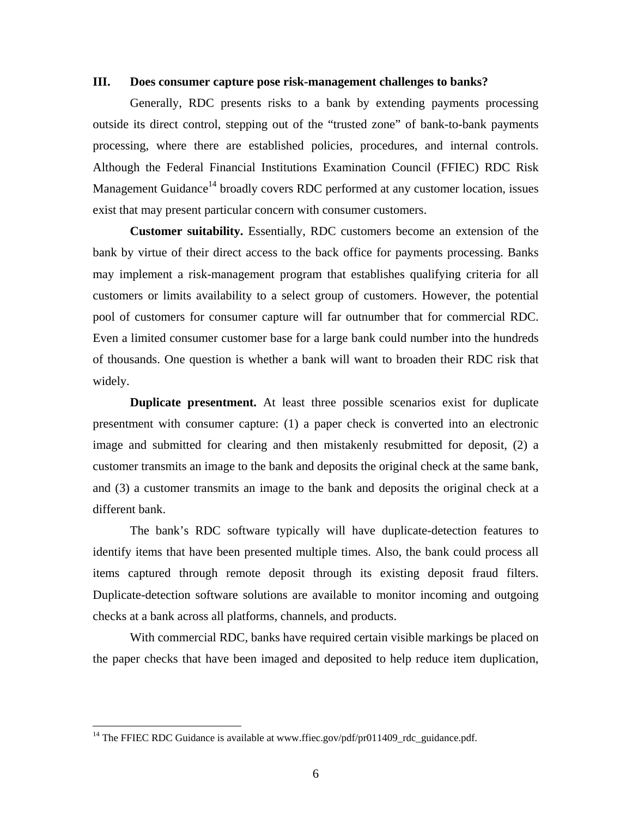#### **III. Does consumer capture pose risk-management challenges to banks?**

Generally, RDC presents risks to a bank by extending payments processing outside its direct control, stepping out of the "trusted zone" of bank-to-bank payments processing, where there are established policies, procedures, and internal controls. Although the Federal Financial Institutions Examination Council (FFIEC) RDC Risk Management Guidance<sup>14</sup> broadly covers RDC performed at any customer location, issues exist that may present particular concern with consumer customers.

**Customer suitability.** Essentially, RDC customers become an extension of the bank by virtue of their direct access to the back office for payments processing. Banks may implement a risk-management program that establishes qualifying criteria for all customers or limits availability to a select group of customers. However, the potential pool of customers for consumer capture will far outnumber that for commercial RDC. Even a limited consumer customer base for a large bank could number into the hundreds of thousands. One question is whether a bank will want to broaden their RDC risk that widely.

**Duplicate presentment.** At least three possible scenarios exist for duplicate presentment with consumer capture: (1) a paper check is converted into an electronic image and submitted for clearing and then mistakenly resubmitted for deposit, (2) a customer transmits an image to the bank and deposits the original check at the same bank, and (3) a customer transmits an image to the bank and deposits the original check at a different bank.

The bank's RDC software typically will have duplicate-detection features to identify items that have been presented multiple times. Also, the bank could process all items captured through remote deposit through its existing deposit fraud filters. Duplicate-detection software solutions are available to monitor incoming and outgoing checks at a bank across all platforms, channels, and products.

With commercial RDC, banks have required certain visible markings be placed on the paper checks that have been imaged and deposited to help reduce item duplication,

<sup>&</sup>lt;sup>14</sup> The FFIEC RDC Guidance is available at www.ffiec.gov/pdf/pr011409\_rdc\_guidance.pdf.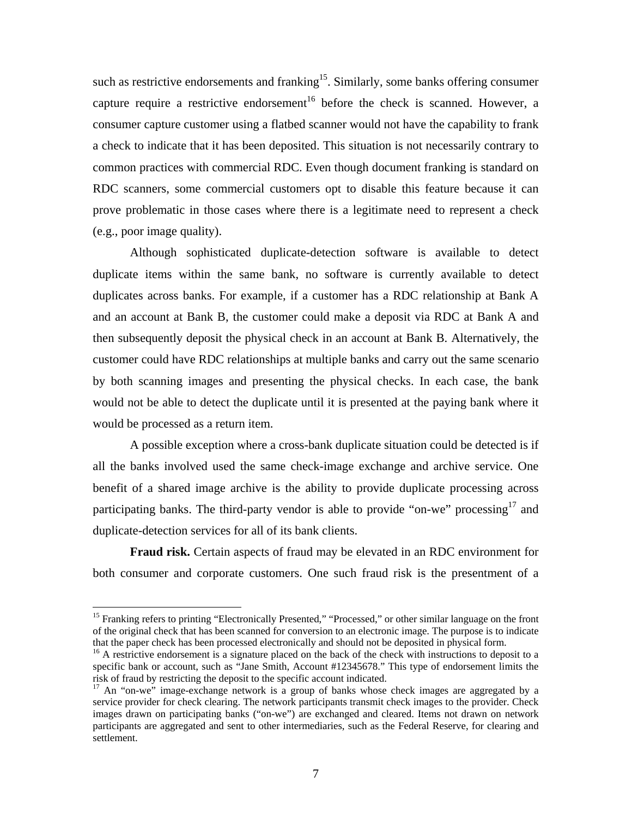such as restrictive endorsements and franking<sup>15</sup>. Similarly, some banks offering consumer capture require a restrictive endorsement<sup>16</sup> before the check is scanned. However, a consumer capture customer using a flatbed scanner would not have the capability to frank a check to indicate that it has been deposited. This situation is not necessarily contrary to common practices with commercial RDC. Even though document franking is standard on RDC scanners, some commercial customers opt to disable this feature because it can prove problematic in those cases where there is a legitimate need to represent a check (e.g., poor image quality).

Although sophisticated duplicate-detection software is available to detect duplicate items within the same bank, no software is currently available to detect duplicates across banks. For example, if a customer has a RDC relationship at Bank A and an account at Bank B, the customer could make a deposit via RDC at Bank A and then subsequently deposit the physical check in an account at Bank B. Alternatively, the customer could have RDC relationships at multiple banks and carry out the same scenario by both scanning images and presenting the physical checks. In each case, the bank would not be able to detect the duplicate until it is presented at the paying bank where it would be processed as a return item.

A possible exception where a cross-bank duplicate situation could be detected is if all the banks involved used the same check-image exchange and archive service. One benefit of a shared image archive is the ability to provide duplicate processing across participating banks. The third-party vendor is able to provide "on-we" processing<sup>17</sup> and duplicate-detection services for all of its bank clients.

**Fraud risk.** Certain aspects of fraud may be elevated in an RDC environment for both consumer and corporate customers. One such fraud risk is the presentment of a

<sup>&</sup>lt;sup>15</sup> Franking refers to printing "Electronically Presented," "Processed," or other similar language on the front of the original check that has been scanned for conversion to an electronic image. The purpose is to indicate that the paper check has been processed electronically and should not be deposited in physical form.

 $16$  A restrictive endorsement is a signature placed on the back of the check with instructions to deposit to a specific bank or account, such as "Jane Smith, Account #12345678." This type of endorsement limits the risk of fraud by restricting the deposit to the specific account indicated.

 $17$  An "on-we" image-exchange network is a group of banks whose check images are aggregated by a service provider for check clearing. The network participants transmit check images to the provider. Check images drawn on participating banks ("on-we") are exchanged and cleared. Items not drawn on network participants are aggregated and sent to other intermediaries, such as the Federal Reserve, for clearing and settlement.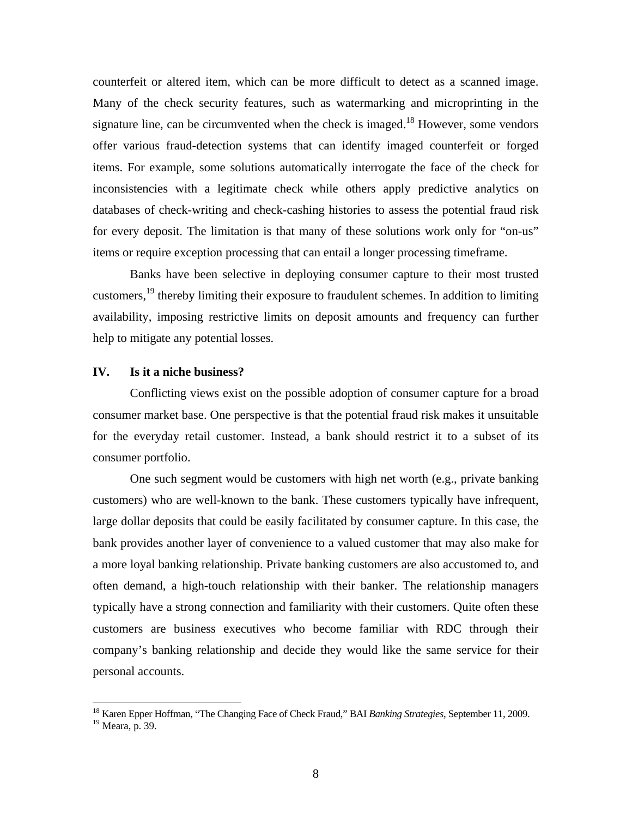counterfeit or altered item, which can be more difficult to detect as a scanned image. Many of the check security features, such as watermarking and microprinting in the signature line, can be circumvented when the check is imaged.<sup>18</sup> However, some vendors offer various fraud-detection systems that can identify imaged counterfeit or forged items. For example, some solutions automatically interrogate the face of the check for inconsistencies with a legitimate check while others apply predictive analytics on databases of check-writing and check-cashing histories to assess the potential fraud risk for every deposit. The limitation is that many of these solutions work only for "on-us" items or require exception processing that can entail a longer processing timeframe.

Banks have been selective in deploying consumer capture to their most trusted customers,19 thereby limiting their exposure to fraudulent schemes. In addition to limiting availability, imposing restrictive limits on deposit amounts and frequency can further help to mitigate any potential losses.

## **IV. Is it a niche business?**

Conflicting views exist on the possible adoption of consumer capture for a broad consumer market base. One perspective is that the potential fraud risk makes it unsuitable for the everyday retail customer. Instead, a bank should restrict it to a subset of its consumer portfolio.

One such segment would be customers with high net worth (e.g., private banking customers) who are well-known to the bank. These customers typically have infrequent, large dollar deposits that could be easily facilitated by consumer capture. In this case, the bank provides another layer of convenience to a valued customer that may also make for a more loyal banking relationship. Private banking customers are also accustomed to, and often demand, a high-touch relationship with their banker. The relationship managers typically have a strong connection and familiarity with their customers. Quite often these customers are business executives who become familiar with RDC through their company's banking relationship and decide they would like the same service for their personal accounts.

<sup>18</sup> Karen Epper Hoffman, "The Changing Face of Check Fraud," BAI *Banking Strategies*, September 11, 2009.

<sup>&</sup>lt;sup>19</sup> Meara, p. 39.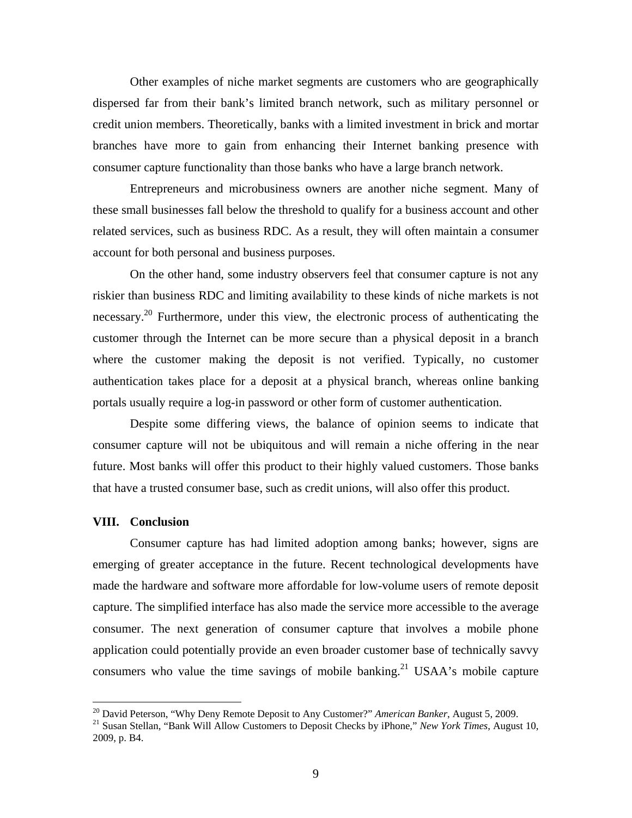Other examples of niche market segments are customers who are geographically dispersed far from their bank's limited branch network, such as military personnel or credit union members. Theoretically, banks with a limited investment in brick and mortar branches have more to gain from enhancing their Internet banking presence with consumer capture functionality than those banks who have a large branch network.

Entrepreneurs and microbusiness owners are another niche segment. Many of these small businesses fall below the threshold to qualify for a business account and other related services, such as business RDC. As a result, they will often maintain a consumer account for both personal and business purposes.

On the other hand, some industry observers feel that consumer capture is not any riskier than business RDC and limiting availability to these kinds of niche markets is not necessary.<sup>20</sup> Furthermore, under this view, the electronic process of authenticating the customer through the Internet can be more secure than a physical deposit in a branch where the customer making the deposit is not verified. Typically, no customer authentication takes place for a deposit at a physical branch, whereas online banking portals usually require a log-in password or other form of customer authentication.

Despite some differing views, the balance of opinion seems to indicate that consumer capture will not be ubiquitous and will remain a niche offering in the near future. Most banks will offer this product to their highly valued customers. Those banks that have a trusted consumer base, such as credit unions, will also offer this product.

#### **VIII. Conclusion**

 $\overline{a}$ 

Consumer capture has had limited adoption among banks; however, signs are emerging of greater acceptance in the future. Recent technological developments have made the hardware and software more affordable for low-volume users of remote deposit capture. The simplified interface has also made the service more accessible to the average consumer. The next generation of consumer capture that involves a mobile phone application could potentially provide an even broader customer base of technically savvy consumers who value the time savings of mobile banking.<sup>21</sup> USAA's mobile capture

<sup>&</sup>lt;sup>20</sup> David Peterson, "Why Deny Remote Deposit to Any Customer?" *American Banker*, August 5, 2009.<br><sup>21</sup> Susan Stellan, "Bank Will Allow Customers to Deposit Checks by iPhone," *New York Times*, August 10,

<sup>2009,</sup> p. B4.